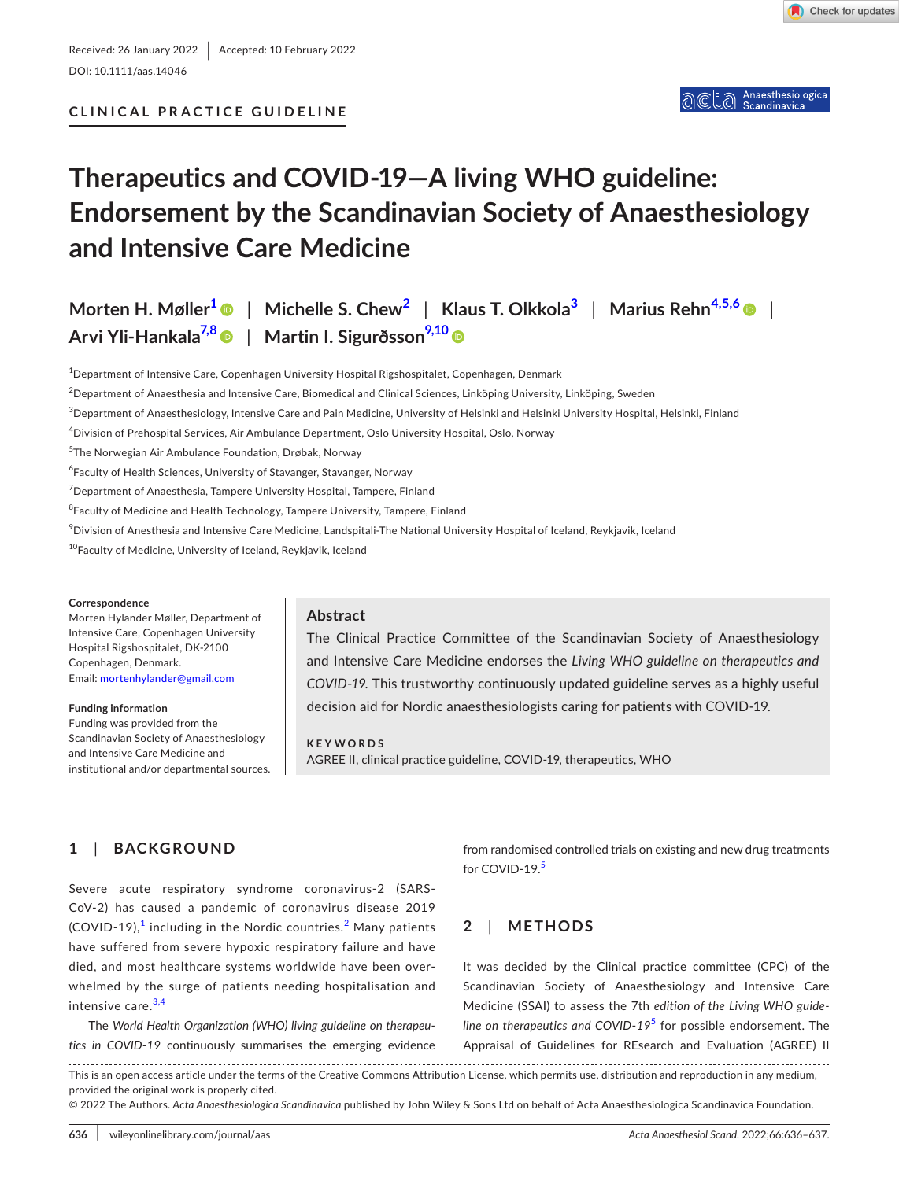DOI: 10.1111/aas.14046

Anaesthesiologica

# **Therapeutics and COVID-19—A living WHO guideline: Endorsement by the Scandinavian Society of Anaesthesiology and Intensive Care Medicine**

**Morten H. Møller[1](#page-0-0)** | **Michelle S. Chew[2](#page-0-1)** | **Klaus T. Olkkola[3](#page-0-2)** | **Marius Rehn[4,5,6](#page-0-3)** | **Arvi Yli-Hankala[7,8](#page-0-4)** | **Martin I. Sigurðsso[n9,10](#page-0-5)**

<span id="page-0-0"></span>1 Department of Intensive Care, Copenhagen University Hospital Rigshospitalet, Copenhagen, Denmark

<span id="page-0-1"></span> $^2$ Department of Anaesthesia and Intensive Care, Biomedical and Clinical Sciences, Linköping University, Linköping, Sweden

<span id="page-0-2"></span> $^3$ Department of Anaesthesiology, Intensive Care and Pain Medicine, University of Helsinki and Helsinki University Hospital, Helsinki, Finland

<span id="page-0-3"></span>4 Division of Prehospital Services, Air Ambulance Department, Oslo University Hospital, Oslo, Norway

5 The Norwegian Air Ambulance Foundation, Drøbak, Norway

 $^6$ Faculty of Health Sciences, University of Stavanger, Stavanger, Norway

<span id="page-0-4"></span> $^7$ Department of Anaesthesia, Tampere University Hospital, Tampere, Finland

 $^8$ Faculty of Medicine and Health Technology, Tampere University, Tampere, Finland

<span id="page-0-5"></span>9 Division of Anesthesia and Intensive Care Medicine, Landspitali-The National University Hospital of Iceland, Reykjavik, Iceland

<sup>10</sup>Faculty of Medicine, University of Iceland, Reykjavik, Iceland

#### **Correspondence**

Morten Hylander Møller, Department of Intensive Care, Copenhagen University Hospital Rigshospitalet, DK-2100 Copenhagen, Denmark. Email: [mortenhylander@gmail.com](mailto:mortenhylander@gmail.com)

**Funding information** Funding was provided from the Scandinavian Society of Anaesthesiology and Intensive Care Medicine and institutional and/or departmental sources.

### **Abstract**

The Clinical Practice Committee of the Scandinavian Society of Anaesthesiology and Intensive Care Medicine endorses the *Living WHO guideline on therapeutics and COVID*-*19*. This trustworthy continuously updated guideline serves as a highly useful decision aid for Nordic anaesthesiologists caring for patients with COVID-19.

**KEYWORDS** AGREE II, clinical practice guideline, COVID-19, therapeutics, WHO

## **1**  | **BACKGROUND**

Severe acute respiratory syndrome coronavirus-2 (SARS-CoV-2) has caused a pandemic of coronavirus disease 2019 (COVID-[1](#page-1-0)9), $^1$  including in the Nordic countries.<sup>[2](#page-1-1)</sup> Many patients have suffered from severe hypoxic respiratory failure and have died, and most healthcare systems worldwide have been overwhelmed by the surge of patients needing hospitalisation and intensive care.<sup>[3,4](#page-1-2)</sup>

The *World Health Organization (WHO) living guideline on therapeutics in COVID*-*19* continuously summarises the emerging evidence

from randomised controlled trials on existing and new drug treatments for COVID-19.<sup>[5](#page-1-3)</sup>

## **2**  | **METHODS**

It was decided by the Clinical practice committee (CPC) of the Scandinavian Society of Anaesthesiology and Intensive Care Medicine (SSAI) to assess the 7th *edition of the Living WHO guideline on therapeutics and COVID*-*19*[5](#page-1-3) for possible endorsement. The Appraisal of Guidelines for REsearch and Evaluation (AGREE) II

This is an open access article under the terms of the Creative Commons Attribution License, which permits use, distribution and reproduction in any medium, provided the original work is properly cited.

© 2022 The Authors. *Acta Anaesthesiologica Scandinavica* published by John Wiley & Sons Ltd on behalf of Acta Anaesthesiologica Scandinavica Foundation.